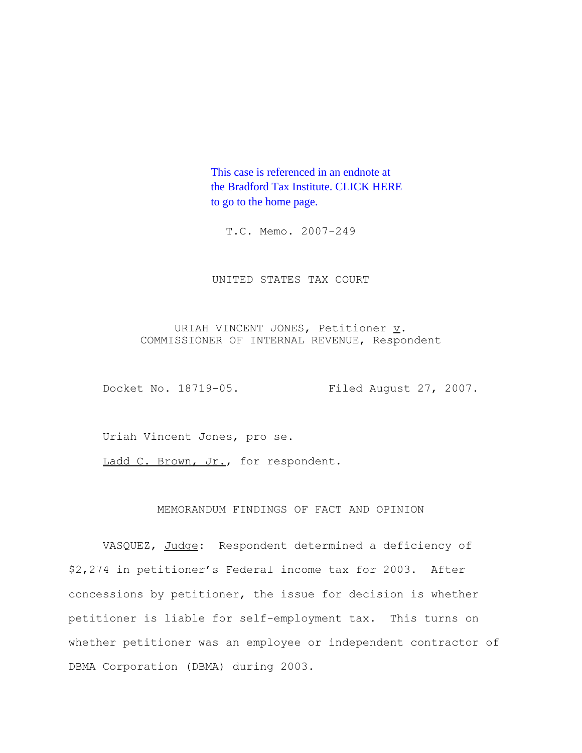This case is referenced in an endnote at [the Bradford Tax Institute. CLICK HERE](http://www.bradfordtaxinstitute.com/)  to go to the home page.

T.C. Memo. 2007-249

UNITED STATES TAX COURT

URIAH VINCENT JONES, Petitioner  $\underline{v}$ . COMMISSIONER OF INTERNAL REVENUE, Respondent

Docket No. 18719-05. Filed August 27, 2007.

Uriah Vincent Jones, pro se.

Ladd C. Brown, Jr., for respondent.

## MEMORANDUM FINDINGS OF FACT AND OPINION

VASQUEZ, Judge: Respondent determined a deficiency of \$2,274 in petitioner's Federal income tax for 2003. After concessions by petitioner, the issue for decision is whether petitioner is liable for self-employment tax. This turns on whether petitioner was an employee or independent contractor of DBMA Corporation (DBMA) during 2003.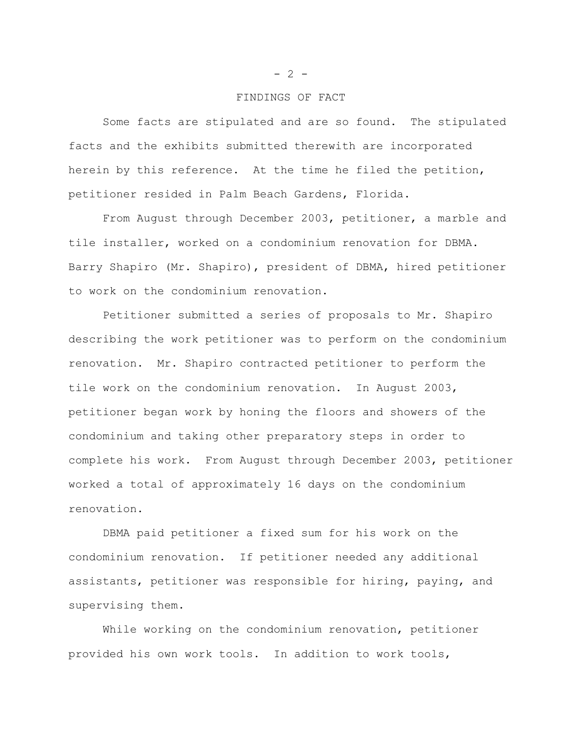#### FINDINGS OF FACT

Some facts are stipulated and are so found. The stipulated facts and the exhibits submitted therewith are incorporated herein by this reference. At the time he filed the petition, petitioner resided in Palm Beach Gardens, Florida.

From August through December 2003, petitioner, a marble and tile installer, worked on a condominium renovation for DBMA. Barry Shapiro (Mr. Shapiro), president of DBMA, hired petitioner to work on the condominium renovation.

Petitioner submitted a series of proposals to Mr. Shapiro describing the work petitioner was to perform on the condominium renovation. Mr. Shapiro contracted petitioner to perform the tile work on the condominium renovation. In August 2003, petitioner began work by honing the floors and showers of the condominium and taking other preparatory steps in order to complete his work. From August through December 2003, petitioner worked a total of approximately 16 days on the condominium renovation.

DBMA paid petitioner a fixed sum for his work on the condominium renovation. If petitioner needed any additional assistants, petitioner was responsible for hiring, paying, and supervising them.

While working on the condominium renovation, petitioner provided his own work tools. In addition to work tools,

 $- 2 -$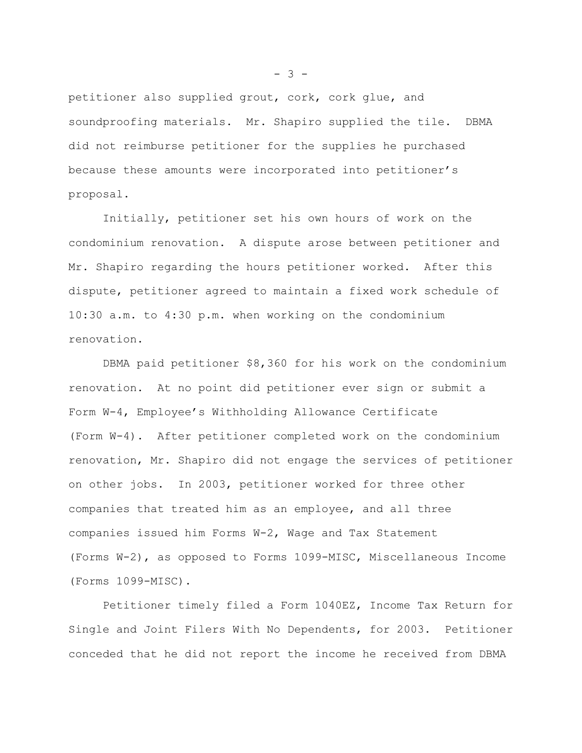petitioner also supplied grout, cork, cork glue, and soundproofing materials. Mr. Shapiro supplied the tile. DBMA did not reimburse petitioner for the supplies he purchased because these amounts were incorporated into petitioner's proposal.

Initially, petitioner set his own hours of work on the condominium renovation. A dispute arose between petitioner and Mr. Shapiro regarding the hours petitioner worked. After this dispute, petitioner agreed to maintain a fixed work schedule of 10:30 a.m. to 4:30 p.m. when working on the condominium renovation.

DBMA paid petitioner \$8,360 for his work on the condominium renovation. At no point did petitioner ever sign or submit a Form W-4, Employee's Withholding Allowance Certificate (Form W-4). After petitioner completed work on the condominium renovation, Mr. Shapiro did not engage the services of petitioner on other jobs. In 2003, petitioner worked for three other companies that treated him as an employee, and all three companies issued him Forms W-2, Wage and Tax Statement (Forms W-2), as opposed to Forms 1099-MISC, Miscellaneous Income (Forms 1099-MISC).

Petitioner timely filed a Form 1040EZ, Income Tax Return for Single and Joint Filers With No Dependents, for 2003. Petitioner conceded that he did not report the income he received from DBMA

 $- 3 -$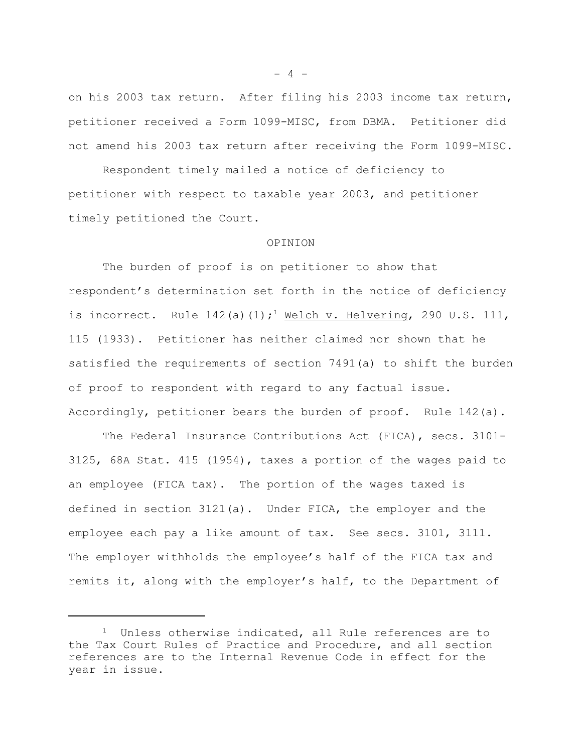on his 2003 tax return. After filing his 2003 income tax return, petitioner received a Form 1099-MISC, from DBMA. Petitioner did not amend his 2003 tax return after receiving the Form 1099-MISC.

Respondent timely mailed a notice of deficiency to petitioner with respect to taxable year 2003, and petitioner timely petitioned the Court.

#### OPINION

The burden of proof is on petitioner to show that respondent's determination set forth in the notice of deficiency is incorrect. Rule  $142(a)(1)$ ;<sup>1</sup> Welch v. Helvering, 290 U.S. 111, 115 (1933). Petitioner has neither claimed nor shown that he satisfied the requirements of section 7491(a) to shift the burden of proof to respondent with regard to any factual issue. Accordingly, petitioner bears the burden of proof. Rule 142(a).

The Federal Insurance Contributions Act (FICA), secs. 3101- 3125, 68A Stat. 415 (1954), taxes a portion of the wages paid to an employee (FICA tax). The portion of the wages taxed is defined in section 3121(a). Under FICA, the employer and the employee each pay a like amount of tax. See secs. 3101, 3111. The employer withholds the employee's half of the FICA tax and remits it, along with the employer's half, to the Department of

 $- 4 -$ 

 $1$  Unless otherwise indicated, all Rule references are to the Tax Court Rules of Practice and Procedure, and all section references are to the Internal Revenue Code in effect for the year in issue.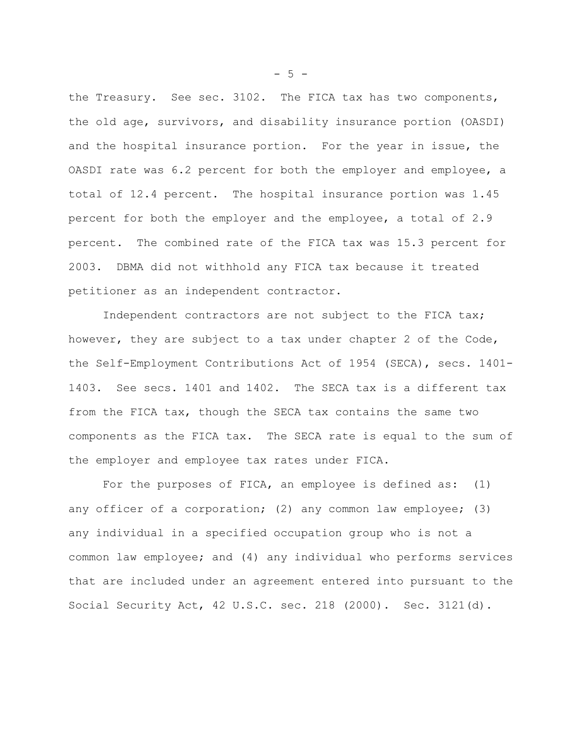the Treasury. See sec. 3102. The FICA tax has two components, the old age, survivors, and disability insurance portion (OASDI) and the hospital insurance portion. For the year in issue, the OASDI rate was 6.2 percent for both the employer and employee, a total of 12.4 percent. The hospital insurance portion was 1.45 percent for both the employer and the employee, a total of 2.9 percent. The combined rate of the FICA tax was 15.3 percent for 2003. DBMA did not withhold any FICA tax because it treated petitioner as an independent contractor.

Independent contractors are not subject to the FICA tax; however, they are subject to a tax under chapter 2 of the Code, the Self-Employment Contributions Act of 1954 (SECA), secs. 1401- 1403. See secs. 1401 and 1402. The SECA tax is a different tax from the FICA tax, though the SECA tax contains the same two components as the FICA tax. The SECA rate is equal to the sum of the employer and employee tax rates under FICA.

For the purposes of FICA, an employee is defined as: (1) any officer of a corporation; (2) any common law employee; (3) any individual in a specified occupation group who is not a common law employee; and (4) any individual who performs services that are included under an agreement entered into pursuant to the Social Security Act, 42 U.S.C. sec. 218 (2000). Sec. 3121(d).

 $-5 -$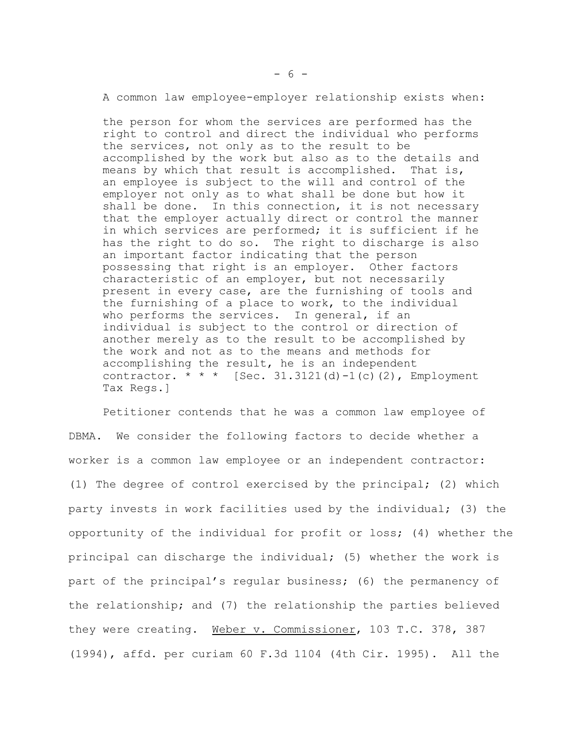A common law employee-employer relationship exists when:

the person for whom the services are performed has the right to control and direct the individual who performs the services, not only as to the result to be accomplished by the work but also as to the details and means by which that result is accomplished. That is, an employee is subject to the will and control of the employer not only as to what shall be done but how it shall be done. In this connection, it is not necessary that the employer actually direct or control the manner in which services are performed; it is sufficient if he has the right to do so. The right to discharge is also an important factor indicating that the person possessing that right is an employer. Other factors characteristic of an employer, but not necessarily present in every case, are the furnishing of tools and the furnishing of a place to work, to the individual who performs the services. In general, if an individual is subject to the control or direction of another merely as to the result to be accomplished by the work and not as to the means and methods for accomplishing the result, he is an independent contractor. \* \* \* [Sec. 31.3121(d)-1(c)(2), Employment Tax Regs.]

Petitioner contends that he was a common law employee of DBMA. We consider the following factors to decide whether a worker is a common law employee or an independent contractor: (1) The degree of control exercised by the principal; (2) which party invests in work facilities used by the individual; (3) the opportunity of the individual for profit or loss; (4) whether the principal can discharge the individual; (5) whether the work is part of the principal's regular business; (6) the permanency of the relationship; and (7) the relationship the parties believed they were creating. Weber v. Commissioner, 103 T.C. 378, 387 (1994), affd. per curiam 60 F.3d 1104 (4th Cir. 1995). All the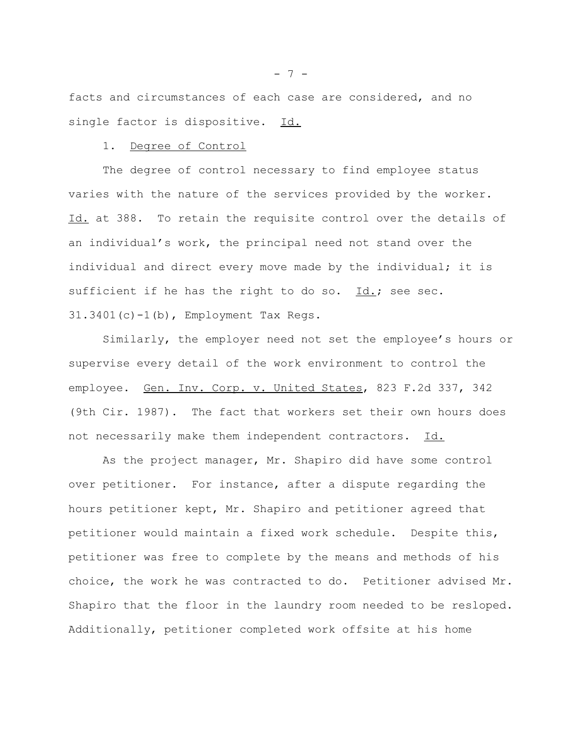facts and circumstances of each case are considered, and no single factor is dispositive. Id.

### 1. Degree of Control

The degree of control necessary to find employee status varies with the nature of the services provided by the worker. Id. at 388. To retain the requisite control over the details of an individual's work, the principal need not stand over the individual and direct every move made by the individual; it is sufficient if he has the right to do so.  $Id.$ ; see sec. 31.3401(c)-1(b), Employment Tax Regs.

Similarly, the employer need not set the employee's hours or supervise every detail of the work environment to control the employee. Gen. Inv. Corp. v. United States, 823 F.2d 337, 342 (9th Cir. 1987). The fact that workers set their own hours does not necessarily make them independent contractors. Id.

As the project manager, Mr. Shapiro did have some control over petitioner. For instance, after a dispute regarding the hours petitioner kept, Mr. Shapiro and petitioner agreed that petitioner would maintain a fixed work schedule. Despite this, petitioner was free to complete by the means and methods of his choice, the work he was contracted to do. Petitioner advised Mr. Shapiro that the floor in the laundry room needed to be resloped. Additionally, petitioner completed work offsite at his home

 $- 7 -$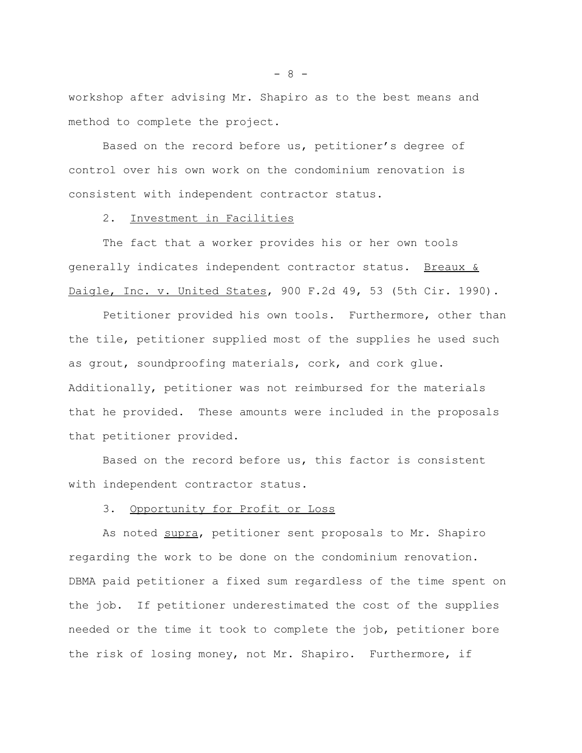workshop after advising Mr. Shapiro as to the best means and method to complete the project.

Based on the record before us, petitioner's degree of control over his own work on the condominium renovation is consistent with independent contractor status.

#### 2. Investment in Facilities

The fact that a worker provides his or her own tools generally indicates independent contractor status. Breaux & Daigle, Inc. v. United States, 900 F.2d 49, 53 (5th Cir. 1990).

Petitioner provided his own tools. Furthermore, other than the tile, petitioner supplied most of the supplies he used such as grout, soundproofing materials, cork, and cork glue. Additionally, petitioner was not reimbursed for the materials that he provided. These amounts were included in the proposals that petitioner provided.

Based on the record before us, this factor is consistent with independent contractor status.

# 3. Opportunity for Profit or Loss

As noted supra, petitioner sent proposals to Mr. Shapiro regarding the work to be done on the condominium renovation. DBMA paid petitioner a fixed sum regardless of the time spent on the job. If petitioner underestimated the cost of the supplies needed or the time it took to complete the job, petitioner bore the risk of losing money, not Mr. Shapiro. Furthermore, if

- 8 -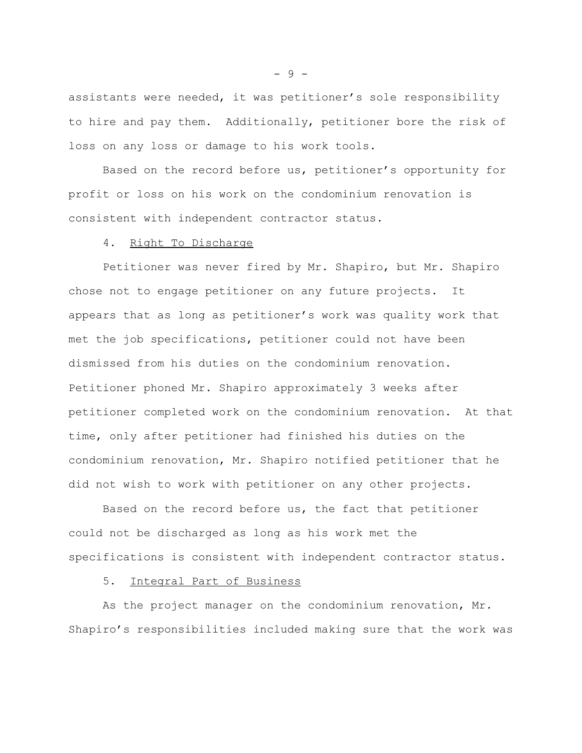assistants were needed, it was petitioner's sole responsibility to hire and pay them. Additionally, petitioner bore the risk of loss on any loss or damage to his work tools.

Based on the record before us, petitioner's opportunity for profit or loss on his work on the condominium renovation is consistent with independent contractor status.

## 4. Right To Discharge

Petitioner was never fired by Mr. Shapiro, but Mr. Shapiro chose not to engage petitioner on any future projects. It appears that as long as petitioner's work was quality work that met the job specifications, petitioner could not have been dismissed from his duties on the condominium renovation. Petitioner phoned Mr. Shapiro approximately 3 weeks after petitioner completed work on the condominium renovation. At that time, only after petitioner had finished his duties on the condominium renovation, Mr. Shapiro notified petitioner that he did not wish to work with petitioner on any other projects.

Based on the record before us, the fact that petitioner could not be discharged as long as his work met the specifications is consistent with independent contractor status.

# 5. Integral Part of Business

As the project manager on the condominium renovation, Mr. Shapiro's responsibilities included making sure that the work was

 $-9 -$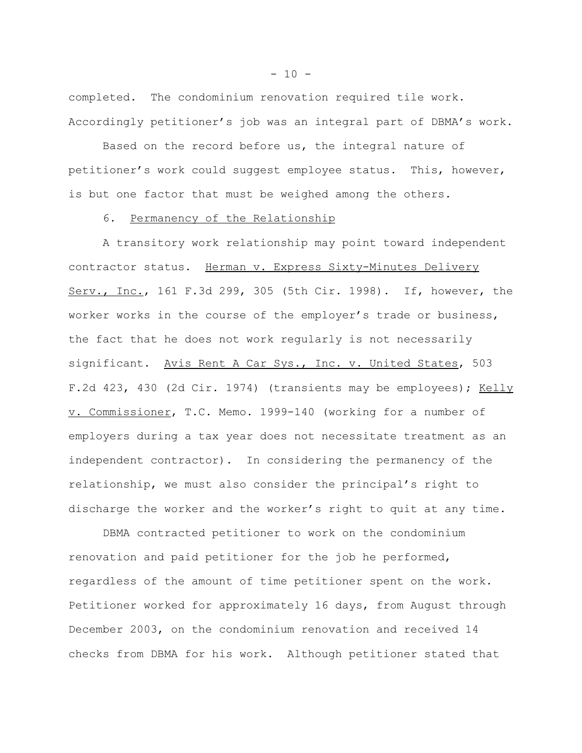completed. The condominium renovation required tile work. Accordingly petitioner's job was an integral part of DBMA's work.

Based on the record before us, the integral nature of petitioner's work could suggest employee status. This, however, is but one factor that must be weighed among the others.

### 6. Permanency of the Relationship

A transitory work relationship may point toward independent contractor status. Herman v. Express Sixty-Minutes Delivery Serv., Inc., 161 F.3d 299, 305 (5th Cir. 1998). If, however, the worker works in the course of the employer's trade or business, the fact that he does not work regularly is not necessarily significant. Avis Rent A Car Sys., Inc. v. United States, 503 F.2d 423, 430 (2d Cir. 1974) (transients may be employees); Kelly v. Commissioner, T.C. Memo. 1999-140 (working for a number of employers during a tax year does not necessitate treatment as an independent contractor). In considering the permanency of the relationship, we must also consider the principal's right to discharge the worker and the worker's right to quit at any time.

DBMA contracted petitioner to work on the condominium renovation and paid petitioner for the job he performed, regardless of the amount of time petitioner spent on the work. Petitioner worked for approximately 16 days, from August through December 2003, on the condominium renovation and received 14 checks from DBMA for his work. Although petitioner stated that

 $- 10 -$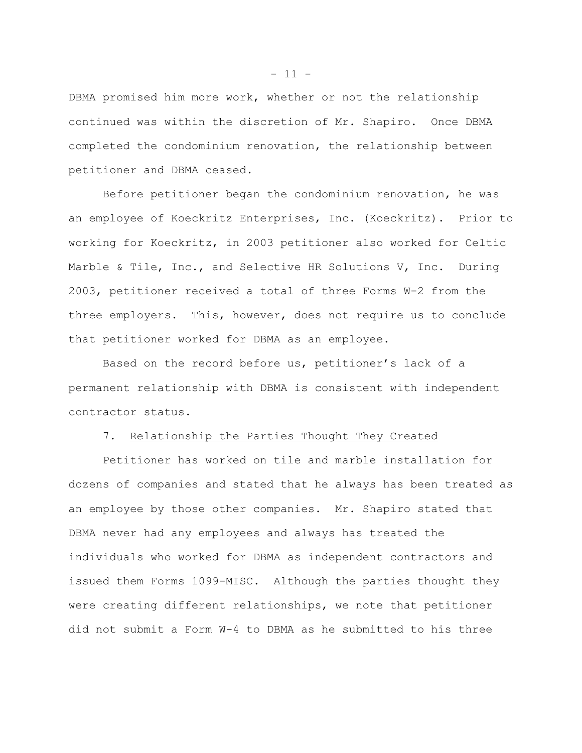DBMA promised him more work, whether or not the relationship continued was within the discretion of Mr. Shapiro. Once DBMA completed the condominium renovation, the relationship between petitioner and DBMA ceased.

Before petitioner began the condominium renovation, he was an employee of Koeckritz Enterprises, Inc. (Koeckritz). Prior to working for Koeckritz, in 2003 petitioner also worked for Celtic Marble & Tile, Inc., and Selective HR Solutions V, Inc. During 2003, petitioner received a total of three Forms W-2 from the three employers. This, however, does not require us to conclude that petitioner worked for DBMA as an employee.

Based on the record before us, petitioner's lack of a permanent relationship with DBMA is consistent with independent contractor status.

### 7. Relationship the Parties Thought They Created

Petitioner has worked on tile and marble installation for dozens of companies and stated that he always has been treated as an employee by those other companies. Mr. Shapiro stated that DBMA never had any employees and always has treated the individuals who worked for DBMA as independent contractors and issued them Forms 1099-MISC. Although the parties thought they were creating different relationships, we note that petitioner did not submit a Form W-4 to DBMA as he submitted to his three

 $- 11 -$